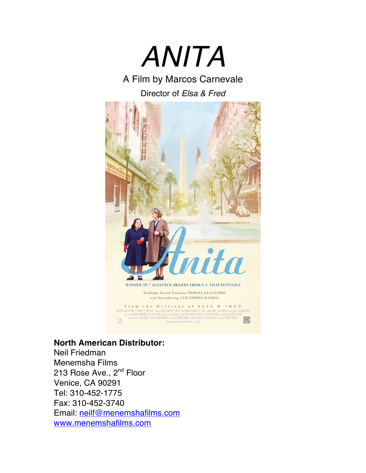

A Film by Marcos Carnevale

Director of *Elsa & Fred*



**North American Distributor:**

Neil Friedman Menemsha Films 213 Rose Ave., 2<sup>nd</sup> Floor Venice, CA 90291 Tel: 310-452-1775 Fax: 310-452-3740 Email: neilf@menemshafilms.com www.menemshafilms.com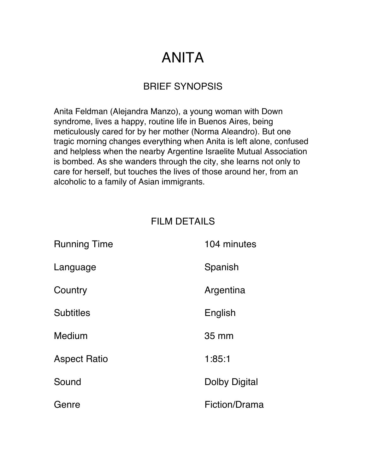### BRIEF SYNOPSIS

Anita Feldman (Alejandra Manzo), a young woman with Down syndrome, lives a happy, routine life in Buenos Aires, being meticulously cared for by her mother (Norma Aleandro). But one tragic morning changes everything when Anita is left alone, confused and helpless when the nearby Argentine Israelite Mutual Association is bombed. As she wanders through the city, she learns not only to care for herself, but touches the lives of those around her, from an alcoholic to a family of Asian immigrants.

### FILM DETAILS

| <b>Running Time</b> | 104 minutes   |
|---------------------|---------------|
| Language            | Spanish       |
| Country             | Argentina     |
| <b>Subtitles</b>    | English       |
| <b>Medium</b>       | 35 mm         |
| <b>Aspect Ratio</b> | 1:85:1        |
| Sound               | Dolby Digital |
| Genre               | Fiction/Drama |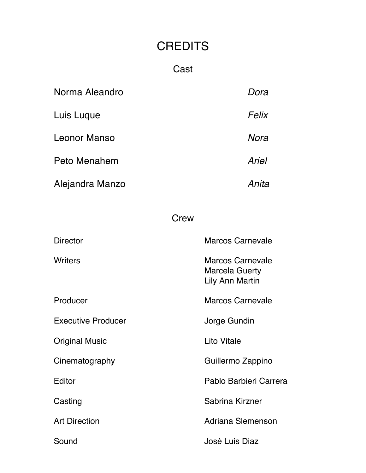### **CREDITS**

### Cast

| Norma Aleandro  | Dora  |
|-----------------|-------|
| Luis Luque      | Felix |
| Leonor Manso    | Nora  |
| Peto Menahem    | Ariel |
| Alejandra Manzo | Anita |

#### **Crew**

| <b>Director</b>           | <b>Marcos Carnevale</b>                                             |
|---------------------------|---------------------------------------------------------------------|
| Writers                   | <b>Marcos Carnevale</b><br><b>Marcela Guerty</b><br>Lily Ann Martin |
| Producer                  | <b>Marcos Carnevale</b>                                             |
| <b>Executive Producer</b> | Jorge Gundin                                                        |
| <b>Original Music</b>     | <b>Lito Vitale</b>                                                  |
| Cinematography            | Guillermo Zappino                                                   |
| Editor                    | Pablo Barbieri Carrera                                              |
| Casting                   | Sabrina Kirzner                                                     |
| <b>Art Direction</b>      | Adriana Slemenson                                                   |
| Sound                     | José Luis Diaz                                                      |
|                           |                                                                     |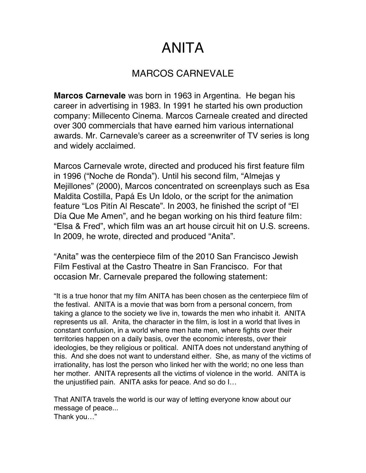#### MARCOS CARNEVALE

**Marcos Carnevale** was born in 1963 in Argentina. He began his career in advertising in 1983. In 1991 he started his own production company: Millecento Cinema. Marcos Carneale created and directed over 300 commercials that have earned him various international awards. Mr. Carnevale's career as a screenwriter of TV series is long and widely acclaimed.

Marcos Carnevale wrote, directed and produced his first feature film in 1996 ("Noche de Ronda"). Until his second film, "Almejas y Mejillones" (2000), Marcos concentrated on screenplays such as Esa Maldita Costilla, Papá Es Un Idolo, or the script for the animation feature "Los Pitín Al Rescate". In 2003, he finished the script of "El Día Que Me Amen", and he began working on his third feature film: "Elsa & Fred", which film was an art house circuit hit on U.S. screens. In 2009, he wrote, directed and produced "Anita".

"Anita" was the centerpiece film of the 2010 San Francisco Jewish Film Festival at the Castro Theatre in San Francisco. For that occasion Mr. Carnevale prepared the following statement:

"It is a true honor that my film ANITA has been chosen as the centerpiece film of the festival. ANITA is a movie that was born from a personal concern, from taking a glance to the society we live in, towards the men who inhabit it. ANITA represents us all. Anita, the character in the film, is lost in a world that lives in constant confusion, in a world where men hate men, where fights over their territories happen on a daily basis, over the economic interests, over their ideologies, be they religious or political. ANITA does not understand anything of this. And she does not want to understand either. She, as many of the victims of irrationality, has lost the person who linked her with the world; no one less than her mother. ANITA represents all the victims of violence in the world. ANITA is the unjustified pain. ANITA asks for peace. And so do I…

That ANITA travels the world is our way of letting everyone know about our message of peace... Thank you…"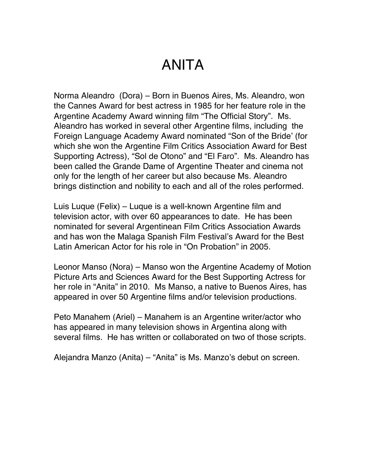Norma Aleandro (Dora) – Born in Buenos Aires, Ms. Aleandro, won the Cannes Award for best actress in 1985 for her feature role in the Argentine Academy Award winning film "The Official Story". Ms. Aleandro has worked in several other Argentine films, including the Foreign Language Academy Award nominated "Son of the Bride' (for which she won the Argentine Film Critics Association Award for Best Supporting Actress), "Sol de Otono" and "El Faro". Ms. Aleandro has been called the Grande Dame of Argentine Theater and cinema not only for the length of her career but also because Ms. Aleandro brings distinction and nobility to each and all of the roles performed.

Luis Luque (Felix) – Luque is a well-known Argentine film and television actor, with over 60 appearances to date. He has been nominated for several Argentinean Film Critics Association Awards and has won the Malaga Spanish Film Festival's Award for the Best Latin American Actor for his role in "On Probation" in 2005.

Leonor Manso (Nora) – Manso won the Argentine Academy of Motion Picture Arts and Sciences Award for the Best Supporting Actress for her role in "Anita" in 2010. Ms Manso, a native to Buenos Aires, has appeared in over 50 Argentine films and/or television productions.

Peto Manahem (Ariel) – Manahem is an Argentine writer/actor who has appeared in many television shows in Argentina along with several films. He has written or collaborated on two of those scripts.

Alejandra Manzo (Anita) – "Anita" is Ms. Manzo's debut on screen.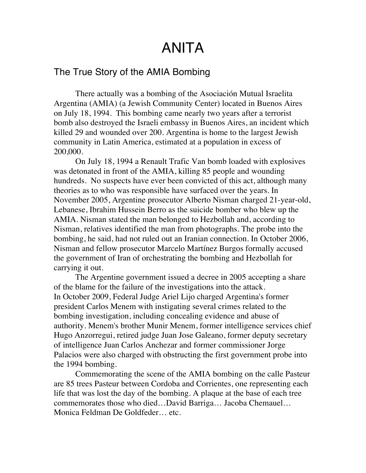#### The True Story of the AMIA Bombing

There actually was a bombing of the Asociación Mutual Israelita Argentina (AMIA) (a Jewish Community Center) located in Buenos Aires on July 18, 1994. This bombing came nearly two years after a terrorist bomb also destroyed the Israeli embassy in Buenos Aires, an incident which killed 29 and wounded over 200. Argentina is home to the largest Jewish community in Latin America, estimated at a population in excess of 200,000.

On July 18, 1994 a Renault Trafic Van bomb loaded with explosives was detonated in front of the AMIA, killing 85 people and wounding hundreds. No suspects have ever been convicted of this act, although many theories as to who was responsible have surfaced over the years. In November 2005, Argentine prosecutor Alberto Nisman charged 21-year-old, Lebanese, Ibrahim Hussein Berro as the suicide bomber who blew up the AMIA. Nisman stated the man belonged to Hezbollah and, according to Nisman, relatives identified the man from photographs. The probe into the bombing, he said, had not ruled out an Iranian connection. In October 2006, Nisman and fellow prosecutor Marcelo Martínez Burgos formally accused the government of Iran of orchestrating the bombing and Hezbollah for carrying it out.

The Argentine government issued a decree in 2005 accepting a share of the blame for the failure of the investigations into the attack. In October 2009, Federal Judge Ariel Lijo charged Argentina's former president Carlos Menem with instigating several crimes related to the bombing investigation, including concealing evidence and abuse of authority. Menem's brother Munir Menem, former intelligence services chief Hugo Anzorregui, retired judge Juan Jose Galeano, former deputy secretary of intelligence Juan Carlos Anchezar and former commissioner Jorge Palacios were also charged with obstructing the first government probe into the 1994 bombing.

Commemorating the scene of the AMIA bombing on the calle Pasteur are 85 trees Pasteur between Cordoba and Corrientes, one representing each life that was lost the day of the bombing. A plaque at the base of each tree commemorates those who died…David Barriga… Jacoba Chemauel… Monica Feldman De Goldfeder… etc.